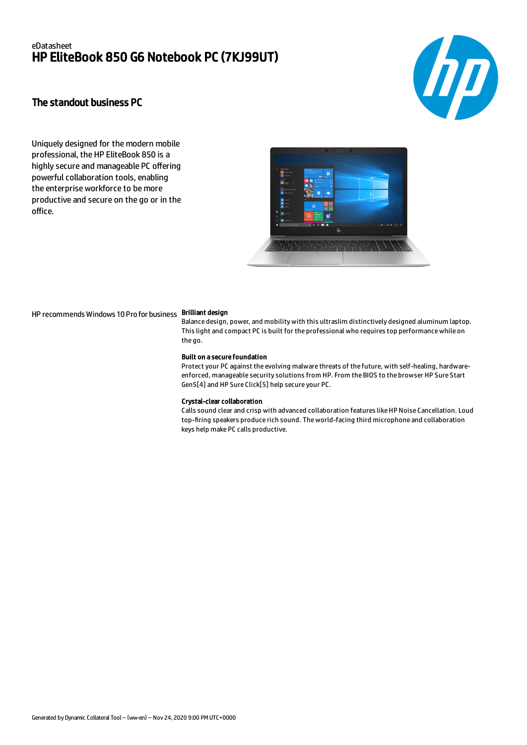## eDatasheet HP EliteBook 850 G6 Notebook PC (7KJ99UT)



## The standout business PC

Uniquely designed for the modern mobile professional, the HP EliteBook 850 is a highly secure and manageable PC offering powerful collaboration tools, enabling the enterprise workforce to be more productive and secure on the go or in the office.



HP recommends Windows 10 Pro for business Brilliant design

Balance design, power, and mobility with this ultraslim distinctively designed aluminum laptop. This light and compact PC is built for the professional who requires top performance while on the go.

### Built on a secure foundation

Protect your PC against the evolving malware threats of the future, with self-healing, hardwareenforced, manageable security solutions from HP. From the BIOS to the browser HP Sure Start Gen5[4] and HP Sure Click[5] help secure your PC.

#### Crystal-clear collaboration

Calls sound clear and crisp with advanced collaboration features like HP Noise Cancellation. Loud top-firing speakers produce rich sound. The world-facing third microphone and collaboration keys help make PC calls productive.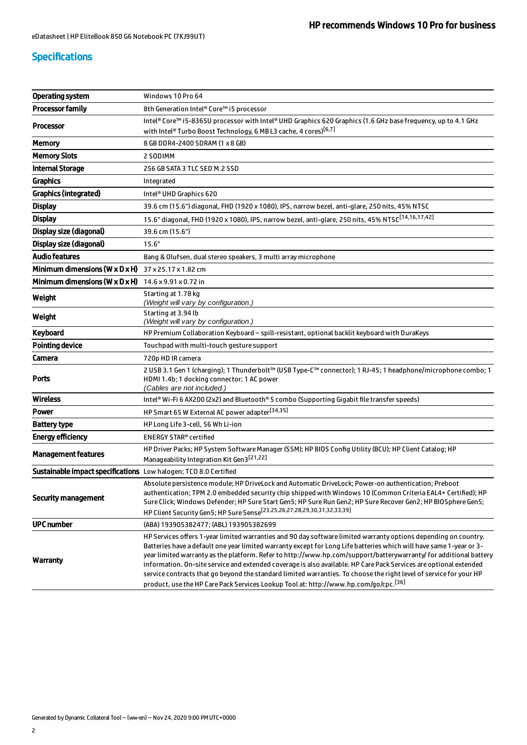# Specifications

| <b>Operating system</b>                                                | Windows 10 Pro 64                                                                                                                                                                                                                                                                                                                                                                                                                                                                                                                                                                                                                                                                                          |  |
|------------------------------------------------------------------------|------------------------------------------------------------------------------------------------------------------------------------------------------------------------------------------------------------------------------------------------------------------------------------------------------------------------------------------------------------------------------------------------------------------------------------------------------------------------------------------------------------------------------------------------------------------------------------------------------------------------------------------------------------------------------------------------------------|--|
| <b>Processor family</b>                                                | 8th Generation Intel® Core™ i5 processor                                                                                                                                                                                                                                                                                                                                                                                                                                                                                                                                                                                                                                                                   |  |
| <b>Processor</b>                                                       | Intel® Core™ i5-8365U processor with Intel® UHD Graphics 620 Graphics (1.6 GHz base frequency, up to 4.1 GHz                                                                                                                                                                                                                                                                                                                                                                                                                                                                                                                                                                                               |  |
|                                                                        | with Intel® Turbo Boost Technology, 6 MB L3 cache, 4 cores) <sup>[6,7]</sup>                                                                                                                                                                                                                                                                                                                                                                                                                                                                                                                                                                                                                               |  |
| <b>Memory</b>                                                          | 8 GB DDR4-2400 SDRAM (1 x 8 GB)                                                                                                                                                                                                                                                                                                                                                                                                                                                                                                                                                                                                                                                                            |  |
| <b>Memory Slots</b>                                                    | 2 SODIMM                                                                                                                                                                                                                                                                                                                                                                                                                                                                                                                                                                                                                                                                                                   |  |
| <b>Internal Storage</b>                                                | 256 GB SATA 3 TLC SED M.2 SSD                                                                                                                                                                                                                                                                                                                                                                                                                                                                                                                                                                                                                                                                              |  |
| <b>Graphics</b>                                                        | Integrated                                                                                                                                                                                                                                                                                                                                                                                                                                                                                                                                                                                                                                                                                                 |  |
| <b>Graphics (integrated)</b>                                           | Intel <sup>®</sup> UHD Graphics 620                                                                                                                                                                                                                                                                                                                                                                                                                                                                                                                                                                                                                                                                        |  |
| <b>Display</b>                                                         | 39.6 cm (15.6") diagonal, FHD (1920 x 1080), IPS, narrow bezel, anti-glare, 250 nits, 45% NTSC                                                                                                                                                                                                                                                                                                                                                                                                                                                                                                                                                                                                             |  |
| <b>Display</b>                                                         | 15.6" diagonal, FHD (1920 x 1080), IPS, narrow bezel, anti-glare, 250 nits, 45% NTSC <sup>[14,16,17,42]</sup>                                                                                                                                                                                                                                                                                                                                                                                                                                                                                                                                                                                              |  |
| Display size (diagonal)                                                | 39.6 cm (15.6")                                                                                                                                                                                                                                                                                                                                                                                                                                                                                                                                                                                                                                                                                            |  |
| Display size (diagonal)                                                | 15.6"                                                                                                                                                                                                                                                                                                                                                                                                                                                                                                                                                                                                                                                                                                      |  |
| <b>Audio features</b>                                                  | Bang & Olufsen, dual stereo speakers, 3 multi array microphone                                                                                                                                                                                                                                                                                                                                                                                                                                                                                                                                                                                                                                             |  |
| <b>Minimum dimensions (W x D x H)</b> $37 \times 25.17 \times 1.82$ cm |                                                                                                                                                                                                                                                                                                                                                                                                                                                                                                                                                                                                                                                                                                            |  |
| Minimum dimensions ( $W \times D \times H$ )                           | 14.6 x 9.91 x 0.72 in                                                                                                                                                                                                                                                                                                                                                                                                                                                                                                                                                                                                                                                                                      |  |
| Weight                                                                 | Starting at 1.78 kg<br>(Weight will vary by configuration.)                                                                                                                                                                                                                                                                                                                                                                                                                                                                                                                                                                                                                                                |  |
| Weight                                                                 | Starting at 3.94 lb<br>(Weight will vary by configuration.)                                                                                                                                                                                                                                                                                                                                                                                                                                                                                                                                                                                                                                                |  |
| Keyboard                                                               | HP Premium Collaboration Keyboard - spill-resistant, optional backlit keyboard with DuraKeys                                                                                                                                                                                                                                                                                                                                                                                                                                                                                                                                                                                                               |  |
| <b>Pointing device</b>                                                 | Touchpad with multi-touch gesture support                                                                                                                                                                                                                                                                                                                                                                                                                                                                                                                                                                                                                                                                  |  |
| Camera                                                                 | 720p HD IR camera                                                                                                                                                                                                                                                                                                                                                                                                                                                                                                                                                                                                                                                                                          |  |
| <b>Ports</b>                                                           | 2 USB 3.1 Gen 1 (charging); 1 Thunderbolt™ (USB Type-C™ connector); 1 RJ-45; 1 headphone/microphone combo; 1                                                                                                                                                                                                                                                                                                                                                                                                                                                                                                                                                                                               |  |
|                                                                        | HDMI 1.4b; 1 docking connector; 1 AC power<br>(Cables are not included.)                                                                                                                                                                                                                                                                                                                                                                                                                                                                                                                                                                                                                                   |  |
| <b>Wireless</b>                                                        | Intel® Wi-Fi 6 AX200 (2x2) and Bluetooth® 5 combo (Supporting Gigabit file transfer speeds)                                                                                                                                                                                                                                                                                                                                                                                                                                                                                                                                                                                                                |  |
| Power                                                                  | HP Smart 65 W External AC power adapter <sup>[34,35]</sup>                                                                                                                                                                                                                                                                                                                                                                                                                                                                                                                                                                                                                                                 |  |
| <b>Battery type</b>                                                    | HP Long Life 3-cell, 56 Wh Li-ion                                                                                                                                                                                                                                                                                                                                                                                                                                                                                                                                                                                                                                                                          |  |
| <b>Energy efficiency</b>                                               | <b>ENERGY STAR® certified</b>                                                                                                                                                                                                                                                                                                                                                                                                                                                                                                                                                                                                                                                                              |  |
| <b>Management features</b>                                             | HP Driver Packs; HP System Software Manager (SSM); HP BIOS Config Utility (BCU); HP Client Catalog; HP<br>Manageability Integration Kit Gen3[21,22]                                                                                                                                                                                                                                                                                                                                                                                                                                                                                                                                                        |  |
| Sustainable impact specifications Low halogen; TCO 8.0 Certified       |                                                                                                                                                                                                                                                                                                                                                                                                                                                                                                                                                                                                                                                                                                            |  |
| <b>Security management</b>                                             | Absolute persistence module; HP DriveLock and Automatic DriveLock; Power-on authentication; Preboot<br>authentication; TPM 2.0 embedded security chip shipped with Windows 10 (Common Criteria EAL4+ Certified); HP<br>Sure Click; Windows Defender; HP Sure Start Gen5; HP Sure Run Gen2; HP Sure Recover Gen2; HP BIOSphere Gen5;<br>HP Client Security Gen5; HP Sure Sense <sup>[23,25,26,27,28,29,30,31,32,33,39]</sup>                                                                                                                                                                                                                                                                                |  |
| <b>UPC number</b>                                                      | (ABA) 193905382477; (ABL) 193905382699                                                                                                                                                                                                                                                                                                                                                                                                                                                                                                                                                                                                                                                                     |  |
| <b>Warranty</b>                                                        | HP Services offers 1-year limited warranties and 90 day software limited warranty options depending on country.<br>Batteries have a default one year limited warranty except for Long Life batteries which will have same 1-year or 3-<br>year limited warranty as the platform. Refer to http://www.hp.com/support/batterywarranty/ for additional battery<br>information. On-site service and extended coverage is also available. HP Care Pack Services are optional extended<br>service contracts that go beyond the standard limited warranties. To choose the right level of service for your HP<br>product, use the HP Care Pack Services Lookup Tool at: http://www.hp.com/qo/cpc. <sup>[36]</sup> |  |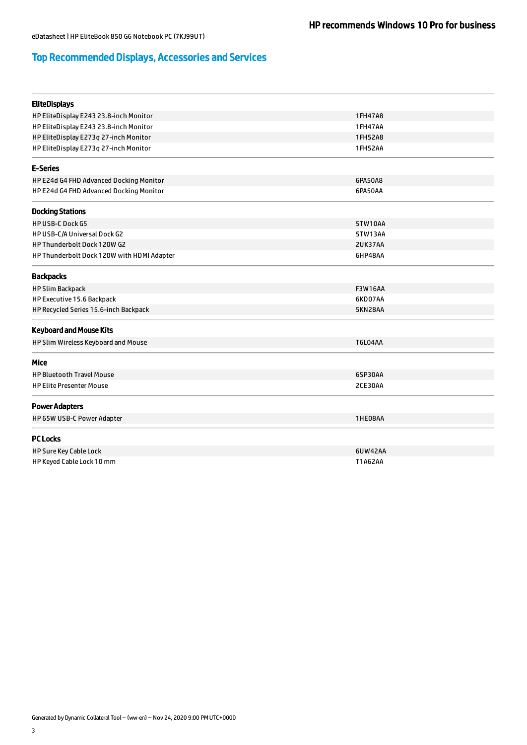# Top Recommended Displays, Accessories and Services

| <b>EliteDisplays</b>                       |                |
|--------------------------------------------|----------------|
| HP EliteDisplay E243 23.8-inch Monitor     | 1FH47A8        |
| HP EliteDisplay E243 23.8-inch Monitor     | <b>1FH47AA</b> |
| HP EliteDisplay E273q 27-inch Monitor      | 1FH52A8        |
| HP EliteDisplay E273q 27-inch Monitor      | 1FH52AA        |
| <b>E-Series</b>                            |                |
| HP E24d G4 FHD Advanced Docking Monitor    | 6PA50A8        |
| HP E24d G4 FHD Advanced Docking Monitor    | 6PA50AA        |
| <b>Docking Stations</b>                    |                |
| <b>HP USB-C Dock G5</b>                    | 5TW10AA        |
| HP USB-C/A Universal Dock G2               | 5TW13AA        |
| HP Thunderbolt Dock 120W G2                | 2UK37AA        |
| HP Thunderbolt Dock 120W with HDMI Adapter | 6HP48AA        |
| <b>Backpacks</b>                           |                |
| <b>HP Slim Backpack</b>                    | <b>F3W16AA</b> |
| HP Executive 15.6 Backpack                 | 6KD07AA        |
| HP Recycled Series 15.6-inch Backpack      | 5KN28AA        |
| <b>Keyboard and Mouse Kits</b>             |                |
| HP Slim Wireless Keyboard and Mouse        | <b>T6L04AA</b> |
| Mice                                       |                |
| <b>HP Bluetooth Travel Mouse</b>           | 6SP30AA        |
| <b>HP Elite Presenter Mouse</b>            | 2CE30AA        |
| <b>Power Adapters</b>                      |                |
| HP 65W USB-C Power Adapter                 | 1HE08AA        |
| <b>PC Locks</b>                            |                |
| HP Sure Key Cable Lock                     | 6UW42AA        |
| HP Keyed Cable Lock 10 mm                  | T1A62AA        |